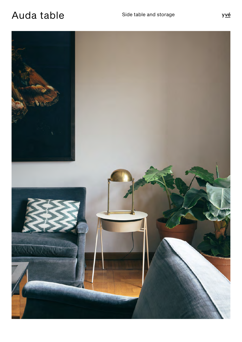## Auda table Side table and storage

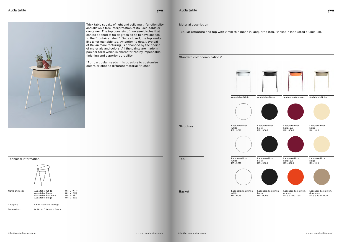<u>yvé</u>



Trick table speaks of light and solid multi-functionality and allows a free interpretation of its uses, table or container. The top consists of two semicircles that can be opened at 90 degrees so as to have access to the "container shelf". Once closed, the top works like a normal table top. Attention to detail, typical of Italian manufacturing, is enhanced by the choice of materials and colors. All the paints are made in powder form which is characterized by impeccable finishing and superior durability.

\*For particular needs it is possible to customize colors or choose different material finishes.

Auda table

Material description

Tubular structure and top with 2 mm thickness in lacquered iron. Basket in lacquered aluminium.





Standard color combinations\* Lacquered iron white RAL 9016 Lacquered iron white RAL 9016 Lacquered aluminum white RAL 9016

Top

Basket

**Structure**